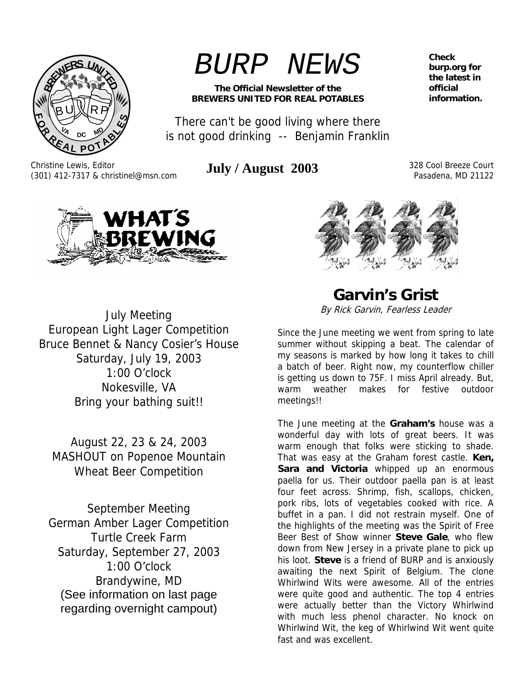

Christine Lewis, Editor

*BURP NEWS*

**The Official Newsletter of the BREWERS UNITED FOR REAL POTABLES** 

There can't be good living where there is not good drinking -- Benjamin Franklin

(301) 412-7317 & christinel@msn.com **July / August 2003** 328 Cool Breeze Court

Pasadena, MD 21122

**Check burp.org for the latest in official information.** 

VHAT'S EWING

July Meeting European Light Lager Competition Bruce Bennet & Nancy Cosier's House Saturday, July 19, 2003 1:00 O'clock Nokesville, VA Bring your bathing suit!!

August 22, 23 & 24, 2003 MASHOUT on Popenoe Mountain Wheat Beer Competition

September Meeting German Amber Lager Competition Turtle Creek Farm Saturday, September 27, 2003 1:00 O'clock Brandywine, MD (See information on last page regarding overnight campout)

**Garvin's Grist**  By Rick Garvin, Fearless Leader

Since the June meeting we went from spring to late summer without skipping a beat. The calendar of my seasons is marked by how long it takes to chill a batch of beer. Right now, my counterflow chiller is getting us down to 75F. I miss April already. But, warm weather makes for festive outdoor meetings!!

The June meeting at the **Graham's** house was a wonderful day with lots of great beers. It was warm enough that folks were sticking to shade. That was easy at the Graham forest castle. **Ken,**  Sara and Victoria whipped up an enormous paella for us. Their outdoor paella pan is at least four feet across. Shrimp, fish, scallops, chicken, pork ribs, lots of vegetables cooked with rice. A buffet in a pan. I did not restrain myself. One of the highlights of the meeting was the Spirit of Free Beer Best of Show winner **Steve Gale**, who flew down from New Jersey in a private plane to pick up his loot. **Steve** is a friend of BURP and is anxiously awaiting the next Spirit of Belgium. The clone Whirlwind Wits were awesome. All of the entries were quite good and authentic. The top 4 entries were actually better than the Victory Whirlwind with much less phenol character. No knock on Whirlwind Wit, the keg of Whirlwind Wit went quite fast and was excellent.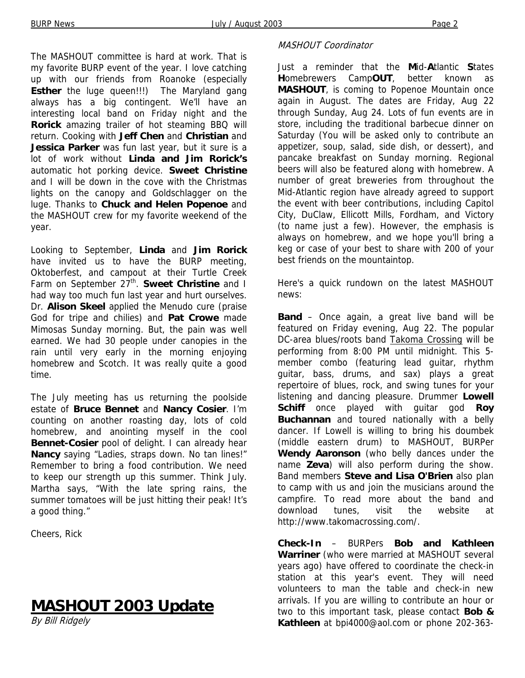The MASHOUT committee is hard at work. That is my favorite BURP event of the year. I love catching up with our friends from Roanoke (especially **Esther** the luge queen!!!) The Maryland gang always has a big contingent. We'll have an interesting local band on Friday night and the **Rorick** amazing trailer of hot steaming BBQ will return. Cooking with **Jeff Chen** and **Christian** and **Jessica Parker** was fun last year, but it sure is a lot of work without **Linda and Jim Rorick's** automatic hot porking device. **Sweet Christine** and I will be down in the cove with the Christmas lights on the canopy and Goldschlagger on the luge. Thanks to **Chuck and Helen Popenoe** and the MASHOUT crew for my favorite weekend of the year.

Looking to September, **Linda** and **Jim Rorick** have invited us to have the BURP meeting, Oktoberfest, and campout at their Turtle Creek Farm on September 27<sup>th</sup>. **Sweet Christine** and I had way too much fun last year and hurt ourselves. Dr. **Alison Skeel** applied the Menudo cure (praise God for tripe and chilies) and **Pat Crowe** made Mimosas Sunday morning. But, the pain was well earned. We had 30 people under canopies in the rain until very early in the morning enjoying homebrew and Scotch. It was really quite a good time.

The July meeting has us returning the poolside estate of **Bruce Bennet** and **Nancy Cosier**. I'm counting on another roasting day, lots of cold homebrew, and anointing myself in the cool **Bennet-Cosier** pool of delight. I can already hear **Nancy** saying "Ladies, straps down. No tan lines!" Remember to bring a food contribution. We need to keep our strength up this summer. Think July. Martha says, "With the late spring rains, the summer tomatoes will be just hitting their peak! It's a good thing."

Cheers, Rick

# **MASHOUT 2003 Update**

By Bill Ridgely

#### MASHOUT Coordinator

Just a reminder that the **M**id-**A**tlantic **S**tates **H**omebrewers Camp**OUT**, better known as **MASHOUT**, is coming to Popenoe Mountain once again in August. The dates are Friday, Aug 22 through Sunday, Aug 24. Lots of fun events are in store, including the traditional barbecue dinner on Saturday (You will be asked only to contribute an appetizer, soup, salad, side dish, or dessert), and pancake breakfast on Sunday morning. Regional beers will also be featured along with homebrew. A number of great breweries from throughout the Mid-Atlantic region have already agreed to support the event with beer contributions, including Capitol City, DuClaw, Ellicott Mills, Fordham, and Victory (to name just a few). However, the emphasis is always on homebrew, and we hope you'll bring a keg or case of your best to share with 200 of your best friends on the mountaintop.

Here's a quick rundown on the latest MASHOUT news:

**Band** – Once again, a great live band will be featured on Friday evening, Aug 22. The popular DC-area blues/roots band Takoma Crossing will be performing from 8:00 PM until midnight. This 5 member combo (featuring lead guitar, rhythm guitar, bass, drums, and sax) plays a great repertoire of blues, rock, and swing tunes for your listening and dancing pleasure. Drummer **Lowell Schiff** once played with guitar god **Roy Buchannan** and toured nationally with a belly dancer. If Lowell is willing to bring his doumbek (middle eastern drum) to MASHOUT, BURPer **Wendy Aaronson** (who belly dances under the name **Zeva**) will also perform during the show. Band members **Steve and Lisa O'Brien** also plan to camp with us and join the musicians around the campfire. To read more about the band and download tunes, visit the website at http://www.takomacrossing.com/.

**Check-In** – BURPers **Bob and Kathleen Warriner** (who were married at MASHOUT several years ago) have offered to coordinate the check-in station at this year's event. They will need volunteers to man the table and check-in new arrivals. If you are willing to contribute an hour or two to this important task, please contact **Bob & Kathleen** at bpi4000@aol.com or phone 202-363-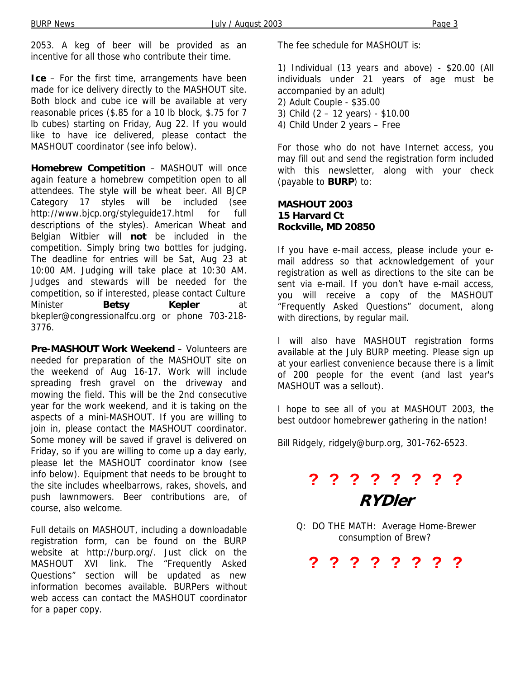2053. A keg of beer will be provided as an incentive for all those who contribute their time.

**Ice** – For the first time, arrangements have been made for ice delivery directly to the MASHOUT site. Both block and cube ice will be available at very reasonable prices (\$.85 for a 10 lb block, \$.75 for 7 lb cubes) starting on Friday, Aug 22. If you would like to have ice delivered, please contact the MASHOUT coordinator (see info below).

**Homebrew Competition** – MASHOUT will once again feature a homebrew competition open to all attendees. The style will be wheat beer. All BJCP Category 17 styles will be included (see http://www.bjcp.org/styleguide17.html for full descriptions of the styles). American Wheat and Belgian Witbier will **not** be included in the competition. Simply bring two bottles for judging. The deadline for entries will be Sat, Aug 23 at 10:00 AM. Judging will take place at 10:30 AM. Judges and stewards will be needed for the competition, so if interested, please contact Culture Minister **Betsy Kepler** bkepler@congressionalfcu.org or phone 703-218- 3776.

**Pre-MASHOUT Work Weekend** – Volunteers are needed for preparation of the MASHOUT site on the weekend of Aug 16-17. Work will include spreading fresh gravel on the driveway and mowing the field. This will be the 2nd consecutive year for the work weekend, and it is taking on the aspects of a mini-MASHOUT. If you are willing to join in, please contact the MASHOUT coordinator. Some money will be saved if gravel is delivered on Friday, so if you are willing to come up a day early, please let the MASHOUT coordinator know (see info below). Equipment that needs to be brought to the site includes wheelbarrows, rakes, shovels, and push lawnmowers. Beer contributions are, of course, also welcome.

Full details on MASHOUT, including a downloadable registration form, can be found on the BURP website at http://burp.org/. Just click on the MASHOUT XVI link. The "Frequently Asked Questions" section will be updated as new information becomes available. BURPers without web access can contact the MASHOUT coordinator for a paper copy.

The fee schedule for MASHOUT is:

1) Individual (13 years and above) - \$20.00 (All individuals under 21 years of age must be accompanied by an adult)

- 2) Adult Couple \$35.00
- 3) Child (2 12 years) \$10.00
- 4) Child Under 2 years Free

For those who do not have Internet access, you may fill out and send the registration form included with this newsletter, along with your check (payable to **BURP**) to:

#### **MASHOUT 2003 15 Harvard Ct Rockville, MD 20850**

If you have e-mail access, please include your email address so that acknowledgement of your registration as well as directions to the site can be sent via e-mail. If you don't have e-mail access, you will receive a copy of the MASHOUT "Frequently Asked Questions" document, along with directions, by regular mail.

I will also have MASHOUT registration forms available at the July BURP meeting. Please sign up at your earliest convenience because there is a limit of 200 people for the event (and last year's MASHOUT was a sellout).

I hope to see all of you at MASHOUT 2003, the best outdoor homebrewer gathering in the nation!

Bill Ridgely, ridgely@burp.org, 301-762-6523.

# **? ? ? ? ? ? ? ? RYDler**

Q: DO THE MATH: Average Home-Brewer consumption of Brew?

**? ? ? ? ? ? ? ?**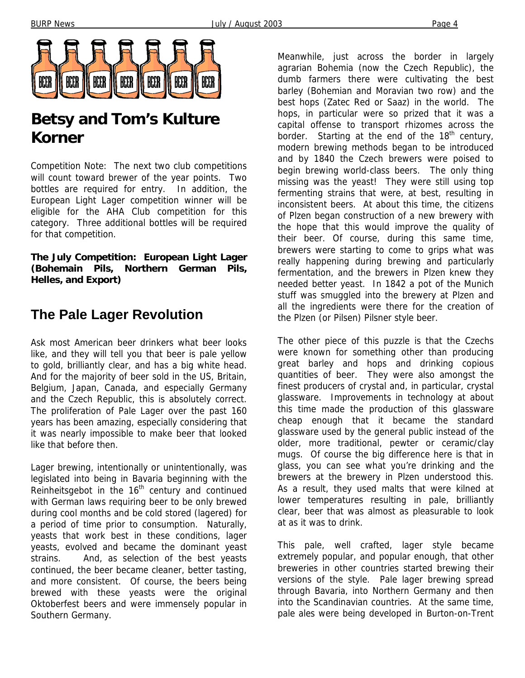

# **Betsy and Tom's Kulture Korner**

Competition Note: The next two club competitions will count toward brewer of the year points. Two bottles are required for entry. In addition, the European Light Lager competition winner will be eligible for the AHA Club competition for this category. Three additional bottles will be required for that competition.

**The July Competition: European Light Lager (Bohemain Pils, Northern German Pils, Helles, and Export)** 

## **The Pale Lager Revolution**

Ask most American beer drinkers what beer looks like, and they will tell you that beer is pale yellow to gold, brilliantly clear, and has a big white head. And for the majority of beer sold in the US, Britain, Belgium, Japan, Canada, and especially Germany and the Czech Republic, this is absolutely correct. The proliferation of Pale Lager over the past 160 years has been amazing, especially considering that it was nearly impossible to make beer that looked like that before then.

Lager brewing, intentionally or unintentionally, was legislated into being in Bavaria beginning with the Reinheitsgebot in the  $16<sup>th</sup>$  century and continued with German laws requiring beer to be only brewed during cool months and be cold stored (lagered) for a period of time prior to consumption. Naturally, yeasts that work best in these conditions, lager yeasts, evolved and became the dominant yeast strains. And, as selection of the best yeasts continued, the beer became cleaner, better tasting, and more consistent. Of course, the beers being brewed with these yeasts were the original Oktoberfest beers and were immensely popular in Southern Germany.

Meanwhile, just across the border in largely agrarian Bohemia (now the Czech Republic), the dumb farmers there were cultivating the best barley (Bohemian and Moravian two row) and the best hops (Zatec Red or Saaz) in the world. The hops, in particular were so prized that it was a capital offense to transport rhizomes across the border. Starting at the end of the  $18<sup>th</sup>$  century, modern brewing methods began to be introduced and by 1840 the Czech brewers were poised to begin brewing world-class beers. The only thing missing was the yeast! They were still using top fermenting strains that were, at best, resulting in inconsistent beers. At about this time, the citizens of Plzen began construction of a new brewery with the hope that this would improve the quality of their beer. Of course, during this same time, brewers were starting to come to grips what was really happening during brewing and particularly fermentation, and the brewers in Plzen knew they needed better yeast. In 1842 a pot of the Munich stuff was smuggled into the brewery at Plzen and all the ingredients were there for the creation of the Plzen (or Pilsen) Pilsner style beer.

The other piece of this puzzle is that the Czechs were known for something other than producing great barley and hops and drinking copious quantities of beer. They were also amongst the finest producers of crystal and, in particular, crystal glassware. Improvements in technology at about this time made the production of this glassware cheap enough that it became the standard glassware used by the general public instead of the older, more traditional, pewter or ceramic/clay mugs. Of course the big difference here is that in glass, you can see what you're drinking and the brewers at the brewery in Plzen understood this. As a result, they used malts that were kilned at lower temperatures resulting in pale, brilliantly clear, beer that was almost as pleasurable to look at as it was to drink.

This pale, well crafted, lager style became extremely popular, and popular enough, that other breweries in other countries started brewing their versions of the style. Pale lager brewing spread through Bavaria, into Northern Germany and then into the Scandinavian countries. At the same time, pale ales were being developed in Burton-on-Trent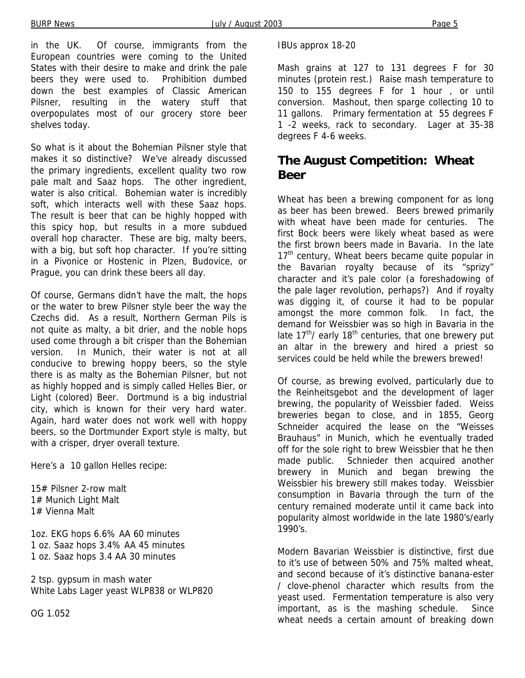in the UK. Of course, immigrants from the European countries were coming to the United States with their desire to make and drink the pale beers they were used to. Prohibition dumbed down the best examples of Classic American Pilsner, resulting in the watery stuff that overpopulates most of our grocery store beer shelves today.

So what is it about the Bohemian Pilsner style that makes it so distinctive? We've already discussed the primary ingredients, excellent quality two row pale malt and Saaz hops. The other ingredient, water is also critical. Bohemian water is incredibly soft, which interacts well with these Saaz hops. The result is beer that can be highly hopped with this spicy hop, but results in a more subdued overall hop character. These are big, malty beers, with a big, but soft hop character. If you're sitting in a Pivonice or Hostenic in Plzen, Budovice, or Prague, you can drink these beers all day.

Of course, Germans didn't have the malt, the hops or the water to brew Pilsner style beer the way the Czechs did. As a result, Northern German Pils is not quite as malty, a bit drier, and the noble hops used come through a bit crisper than the Bohemian version. In Munich, their water is not at all conducive to brewing hoppy beers, so the style there is as malty as the Bohemian Pilsner, but not as highly hopped and is simply called Helles Bier, or Light (colored) Beer. Dortmund is a big industrial city, which is known for their very hard water. Again, hard water does not work well with hoppy beers, so the Dortmunder Export style is malty, but with a crisper, dryer overall texture.

Here's a 10 gallon Helles recipe:

15# Pilsner 2-row malt 1# Munich Light Malt 1# Vienna Malt

1oz. EKG hops 6.6% AA 60 minutes 1 oz. Saaz hops 3.4% AA 45 minutes 1 oz. Saaz hops 3.4 AA 30 minutes

2 tsp. gypsum in mash water White Labs Lager yeast WLP838 or WLP820

OG 1.052

IBUs approx 18-20

Mash grains at 127 to 131 degrees F for 30 minutes (protein rest.) Raise mash temperature to 150 to 155 degrees F for 1 hour , or until conversion. Mashout, then sparge collecting 10 to 11 gallons. Primary fermentation at 55 degrees F 1 -2 weeks, rack to secondary. Lager at 35-38 degrees F 4-6 weeks.

### **The August Competition: Wheat Beer**

Wheat has been a brewing component for as long as beer has been brewed. Beers brewed primarily with wheat have been made for centuries. The first Bock beers were likely wheat based as were the first brown beers made in Bavaria. In the late  $17<sup>th</sup>$  century, Wheat beers became quite popular in the Bavarian royalty because of its "sprizy" character and it's pale color (a foreshadowing of the pale lager revolution, perhaps?) And if royalty was digging it, of course it had to be popular amongst the more common folk. In fact, the demand for Weissbier was so high in Bavaria in the late  $17<sup>th</sup>$ / early  $18<sup>th</sup>$  centuries, that one brewery put an altar in the brewery and hired a priest so services could be held while the brewers brewed!

Of course, as brewing evolved, particularly due to the Reinheitsgebot and the development of lager brewing, the popularity of Weissbier faded. Weiss breweries began to close, and in 1855, Georg Schneider acquired the lease on the "Weisses Brauhaus" in Munich, which he eventually traded off for the sole right to brew Weissbier that he then made public. Schnieder then acquired another brewery in Munich and began brewing the Weissbier his brewery still makes today. Weissbier consumption in Bavaria through the turn of the century remained moderate until it came back into popularity almost worldwide in the late 1980's/early 1990's.

Modern Bavarian Weissbier is distinctive, first due to it's use of between 50% and 75% malted wheat, and second because of it's distinctive banana-ester / clove-phenol character which results from the yeast used. Fermentation temperature is also very important, as is the mashing schedule. Since wheat needs a certain amount of breaking down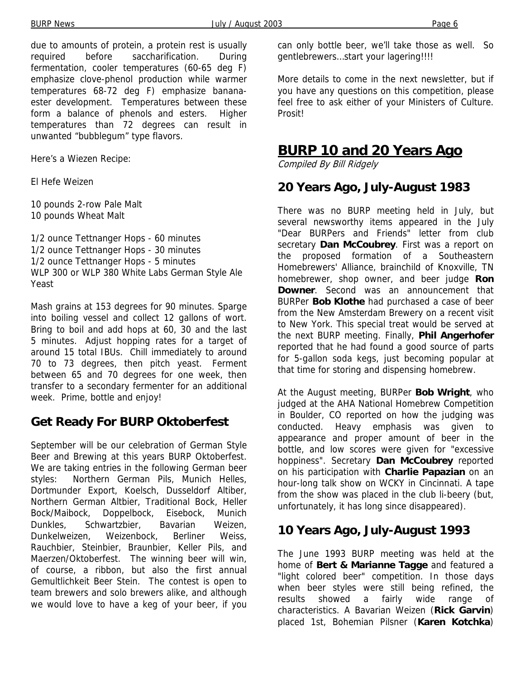due to amounts of protein, a protein rest is usually required before saccharification. During fermentation, cooler temperatures (60-65 deg F) emphasize clove-phenol production while warmer temperatures 68-72 deg F) emphasize bananaester development. Temperatures between these form a balance of phenols and esters. Higher temperatures than 72 degrees can result in unwanted "bubblegum" type flavors.

Here's a Wiezen Recipe:

El Hefe Weizen

10 pounds 2-row Pale Malt 10 pounds Wheat Malt

1/2 ounce Tettnanger Hops - 60 minutes 1/2 ounce Tettnanger Hops - 30 minutes 1/2 ounce Tettnanger Hops - 5 minutes WLP 300 or WLP 380 White Labs German Style Ale Yeast

Mash grains at 153 degrees for 90 minutes. Sparge into boiling vessel and collect 12 gallons of wort. Bring to boil and add hops at 60, 30 and the last 5 minutes. Adjust hopping rates for a target of around 15 total IBUs. Chill immediately to around 70 to 73 degrees, then pitch yeast. Ferment between 65 and 70 degrees for one week, then transfer to a secondary fermenter for an additional week. Prime, bottle and enjoy!

### **Get Ready For BURP Oktoberfest**

September will be our celebration of German Style Beer and Brewing at this years BURP Oktoberfest. We are taking entries in the following German beer styles: Northern German Pils, Munich Helles, Dortmunder Export, Koelsch, Dusseldorf Altiber, Northern German Altbier, Traditional Bock, Heller Bock/Maibock, Doppelbock, Eisebock, Munich Dunkles, Schwartzbier, Bavarian Weizen, Dunkelweizen, Weizenbock, Berliner Weiss, Rauchbier, Steinbier, Braunbier, Keller Pils, and Maerzen/Oktoberfest. The winning beer will win, of course, a ribbon, but also the first annual Gemultlichkeit Beer Stein. The contest is open to team brewers and solo brewers alike, and although we would love to have a keg of your beer, if you

More details to come in the next newsletter, but if you have any questions on this competition, please feel free to ask either of your Ministers of Culture. Prosit!

### **BURP 10 and 20 Years Ago**

Compiled By Bill Ridgely

#### **20 Years Ago, July-August 1983**

There was no BURP meeting held in July, but several newsworthy items appeared in the July "Dear BURPers and Friends" letter from club secretary **Dan McCoubrey**. First was a report on the proposed formation of a Southeastern Homebrewers' Alliance, brainchild of Knoxville, TN homebrewer, shop owner, and beer judge **Ron Downer**. Second was an announcement that BURPer **Bob Klothe** had purchased a case of beer from the New Amsterdam Brewery on a recent visit to New York. This special treat would be served at the next BURP meeting. Finally, **Phil Angerhofer** reported that he had found a good source of parts for 5-gallon soda kegs, just becoming popular at that time for storing and dispensing homebrew.

At the August meeting, BURPer **Bob Wright**, who judged at the AHA National Homebrew Competition in Boulder, CO reported on how the judging was conducted. Heavy emphasis was given to appearance and proper amount of beer in the bottle, and low scores were given for "excessive hoppiness". Secretary **Dan McCoubrey** reported on his participation with **Charlie Papazian** on an hour-long talk show on WCKY in Cincinnati. A tape from the show was placed in the club li-beery (but, unfortunately, it has long since disappeared).

### **10 Years Ago, July-August 1993**

The June 1993 BURP meeting was held at the home of **Bert & Marianne Tagge** and featured a "light colored beer" competition. In those days when beer styles were still being refined, the results showed a fairly wide range of characteristics. A Bavarian Weizen (**Rick Garvin**) placed 1st, Bohemian Pilsner (**Karen Kotchka**)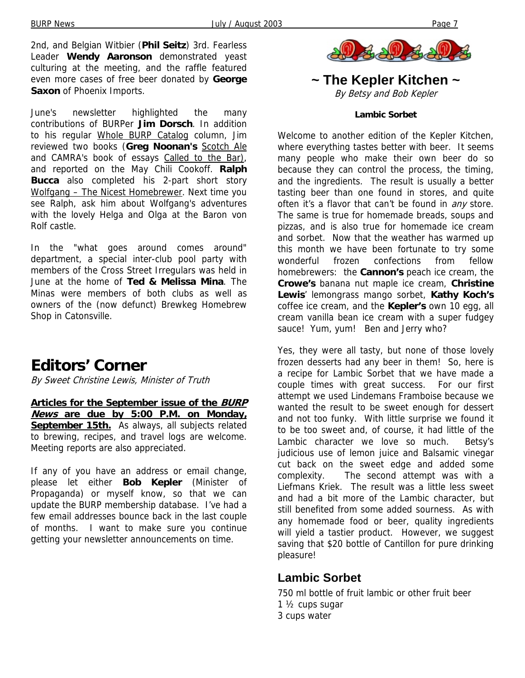2nd, and Belgian Witbier (**Phil Seitz**) 3rd. Fearless Leader **Wendy Aaronson** demonstrated yeast culturing at the meeting, and the raffle featured even more cases of free beer donated by **George Saxon** of Phoenix Imports.

June's newsletter highlighted the many contributions of BURPer **Jim Dorsch**. In addition to his regular Whole BURP Catalog column, Jim reviewed two books (**Greg Noonan's** Scotch Ale and CAMRA's book of essays Called to the Bar), and reported on the May Chili Cookoff. **Ralph Bucca** also completed his 2-part short story Wolfgang – The Nicest Homebrewer. Next time you see Ralph, ask him about Wolfgang's adventures with the lovely Helga and Olga at the Baron von Rolf castle.

In the "what goes around comes around" department, a special inter-club pool party with members of the Cross Street Irregulars was held in June at the home of **Ted & Melissa Mina**. The Minas were members of both clubs as well as owners of the (now defunct) Brewkeg Homebrew Shop in Catonsville.

# **Editors' Corner**

By Sweet Christine Lewis, Minister of Truth

**Articles for the September issue of the BURP News are due by 5:00 P.M. on Monday, September 15th.** As always, all subjects related to brewing, recipes, and travel logs are welcome. Meeting reports are also appreciated.

If any of you have an address or email change, please let either **Bob Kepler** (Minister of Propaganda) or myself know, so that we can update the BURP membership database. I've had a few email addresses bounce back in the last couple of months. I want to make sure you continue getting your newsletter announcements on time.



#### **~ The Kepler Kitchen ~**  By Betsy and Bob Kepler

#### **Lambic Sorbet**

Welcome to another edition of the Kepler Kitchen, where everything tastes better with beer. It seems many people who make their own beer do so because they can control the process, the timing, and the ingredients. The result is usually a better tasting beer than one found in stores, and quite often it's a flavor that can't be found in *any* store. The same is true for homemade breads, soups and pizzas, and is also true for homemade ice cream and sorbet. Now that the weather has warmed up this month we have been fortunate to try some wonderful frozen confections from fellow homebrewers: the **Cannon's** peach ice cream, the **Crowe's** banana nut maple ice cream, **Christine Lewis**' lemongrass mango sorbet, **Kathy Koch's** coffee ice cream, and the **Kepler's** own 10 egg, all cream vanilla bean ice cream with a super fudgey sauce! Yum, yum! Ben and Jerry who?

Yes, they were all tasty, but none of those lovely frozen desserts had any beer in them! So, here is a recipe for Lambic Sorbet that we have made a couple times with great success. For our first attempt we used Lindemans Framboise because we wanted the result to be sweet enough for dessert and not too funky. With little surprise we found it to be too sweet and, of course, it had little of the Lambic character we love so much. Betsy's judicious use of lemon juice and Balsamic vinegar cut back on the sweet edge and added some complexity. The second attempt was with a Liefmans Kriek. The result was a little less sweet and had a bit more of the Lambic character, but still benefited from some added sourness. As with any homemade food or beer, quality ingredients will yield a tastier product. However, we suggest saving that \$20 bottle of Cantillon for pure drinking pleasure!

#### **Lambic Sorbet**

750 ml bottle of fruit lambic or other fruit beer 1 ½ cups sugar 3 cups water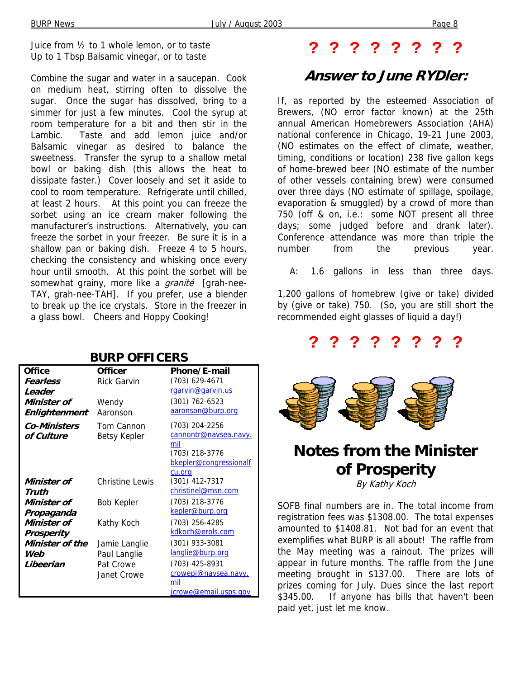Juice from ½ to 1 whole lemon, or to taste Up to 1 Tbsp Balsamic vinegar, or to taste

Combine the sugar and water in a saucepan. Cook on medium heat, stirring often to dissolve the sugar. Once the sugar has dissolved, bring to a simmer for just a few minutes. Cool the syrup at room temperature for a bit and then stir in the Lambic. Taste and add lemon juice and/or Balsamic vinegar as desired to balance the sweetness. Transfer the syrup to a shallow metal bowl or baking dish (this allows the heat to dissipate faster.) Cover loosely and set it aside to cool to room temperature. Refrigerate until chilled, at least 2 hours. At this point you can freeze the sorbet using an ice cream maker following the manufacturer's instructions. Alternatively, you can freeze the sorbet in your freezer. Be sure it is in a shallow pan or baking dish. Freeze 4 to 5 hours, checking the consistency and whisking once every hour until smooth. At this point the sorbet will be somewhat grainy, more like a *granité* [grah-nee-TAY, grah-nee-TAH]. If you prefer, use a blender to break up the ice crystals. Store in the freezer in a glass bowl. Cheers and Hoppy Cooking!

## **? ? ? ? ? ? ? ?**

## **Answer to June RYDler:**

If, as reported by the esteemed Association of Brewers, (NO error factor known) at the 25th annual American Homebrewers Association (AHA) national conference in Chicago, 19-21 June 2003, (NO estimates on the effect of climate, weather, timing, conditions or location) 238 five gallon kegs of home-brewed beer (NO estimate of the number of other vessels containing brew) were consumed over three days (NO estimate of spillage, spoilage, evaporation & smuggled) by a crowd of more than 750 (off & on, i.e.: some NOT present all three days; some judged before and drank later). Conference attendance was more than triple the number from the previous year.

A: 1.6 gallons in less than three days.

1,200 gallons of homebrew (give or take) divided by (give or take) 750. (So, you are still short the recommended eight glasses of liquid a day!)

## **? ? ? ? ? ? ? ?**



### **Notes from the Minister of Prosperity** By Kathy Koch

SOFB final numbers are in. The total income from registration fees was \$1308.00. The total expenses amounted to \$1408.81. Not bad for an event that exemplifies what BURP is all about! The raffle from the May meeting was a rainout. The prizes will appear in future months. The raffle from the June meeting brought in \$137.00. There are lots of prizes coming for July. Dues since the last report \$345.00. If anyone has bills that haven't been paid yet, just let me know.

#### **BURP OFFICERS Office Officer Phone/E-mail**

| Fearless            | <b>Rick Garvin</b>     | (703) 629-4671         |
|---------------------|------------------------|------------------------|
| Leader              |                        | rgarvin@garvin.us      |
| Minister of         | Wendy                  | $(301) 762 - 6523$     |
| Enlightenment       | Aaronson               | aaronson@burp.org      |
| <b>Co-Ministers</b> | Tom Cannon             | (703) 204-2256         |
| of Culture          | Betsy Kepler           | cannontr@navsea.navy.  |
|                     |                        | mil                    |
|                     |                        | (703) 218-3776         |
|                     |                        | bkepler@congressionalf |
|                     |                        | cu.org                 |
| Minister of         | <b>Christine Lewis</b> | (301) 412-7317         |
| Truth               |                        | christinel@msn.com     |
| Minister of         | <b>Bob Kepler</b>      | (703) 218-3776         |
| Propaganda          |                        | kepler@burp.org        |
| Minister of         | Kathy Koch             | (703) 256-4285         |
| Prosperity          |                        | kdkoch@erols.com       |
| Minister of the     | Jamie Langlie          | (301) 933-3081         |
| Web                 | Paul Langlie           | langlie@burp.org       |
| Libeerian           | Pat Crowe              | (703) 425-8931         |
|                     | Janet Crowe            | crowepj@navsea.navy.   |
|                     |                        | mil                    |
|                     |                        | icrowe@email.usps.gov  |